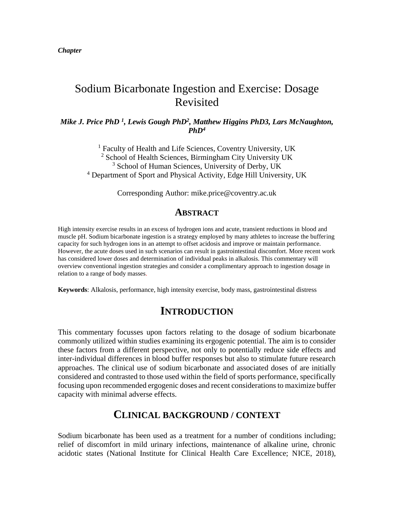*Chapter* 

# Sodium Bicarbonate Ingestion and Exercise: Dosage Revisited

*Mike J. Price PhD <sup>1</sup> , Lewis Gough PhD<sup>2</sup> , Matthew Higgins PhD3, Lars McNaughton,*   $PhD<sup>4</sup>$ 

<sup>1</sup> Faculty of Health and Life Sciences, Coventry University, UK <sup>2</sup> School of Health Sciences, Birmingham City University UK <sup>3</sup> School of Human Sciences, University of Derby, UK <sup>4</sup> Department of Sport and Physical Activity, Edge Hill University, UK

Corresponding Author: mike.price@coventry.ac.uk

#### **ABSTRACT**

High intensity exercise results in an excess of hydrogen ions and acute, transient reductions in blood and muscle pH. Sodium bicarbonate ingestion is a strategy employed by many athletes to increase the buffering capacity for such hydrogen ions in an attempt to offset acidosis and improve or maintain performance. However, the acute doses used in such scenarios can result in gastrointestinal discomfort. More recent work has considered lower doses and determination of individual peaks in alkalosis. This commentary will overview conventional ingestion strategies and consider a complimentary approach to ingestion dosage in relation to a range of body masses.

**Keywords**: Alkalosis, performance, high intensity exercise, body mass, gastrointestinal distress

### **INTRODUCTION**

This commentary focusses upon factors relating to the dosage of sodium bicarbonate commonly utilized within studies examining its ergogenic potential. The aim is to consider these factors from a different perspective, not only to potentially reduce side effects and inter-individual differences in blood buffer responses but also to stimulate future research approaches. The clinical use of sodium bicarbonate and associated doses of are initially considered and contrasted to those used within the field of sports performance, specifically focusing upon recommended ergogenic doses and recent considerations to maximize buffer capacity with minimal adverse effects.

### **CLINICAL BACKGROUND / CONTEXT**

Sodium bicarbonate has been used as a treatment for a number of conditions including; relief of discomfort in mild urinary infections, maintenance of alkaline urine, chronic acidotic states (National Institute for Clinical Health Care Excellence; NICE, 2018),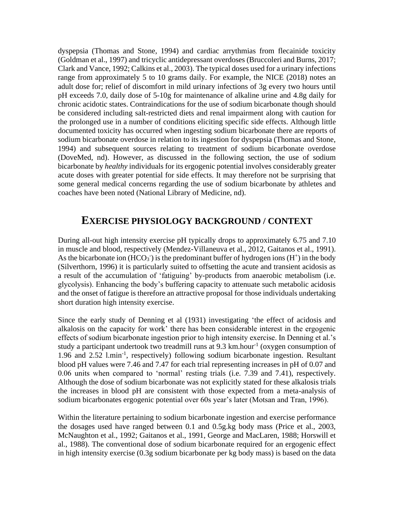dyspepsia (Thomas and Stone, 1994) and cardiac arrythmias from flecainide toxicity (Goldman et al., 1997) and tricyclic antidepressant overdoses (Bruccoleri and Burns, 2017; Clark and Vance, 1992; Calkins et al., 2003). The typical doses used for a urinary infections range from approximately 5 to 10 grams daily. For example, the NICE (2018) notes an adult dose for; relief of discomfort in mild urinary infections of 3g every two hours until pH exceeds 7.0, daily dose of 5-10g for maintenance of alkaline urine and 4.8g daily for chronic acidotic states. Contraindications for the use of sodium bicarbonate though should be considered including salt-restricted diets and renal impairment along with caution for the prolonged use in a number of conditions eliciting specific side effects. Although little documented toxicity has occurred when ingesting sodium bicarbonate there are reports of sodium bicarbonate overdose in relation to its ingestion for dyspepsia (Thomas and Stone, 1994) and subsequent sources relating to treatment of sodium bicarbonate overdose (DoveMed, nd). However, as discussed in the following section, the use of sodium bicarbonate by *healthy* individuals for its ergogenic potential involves considerably greater acute doses with greater potential for side effects. It may therefore not be surprising that some general medical concerns regarding the use of sodium bicarbonate by athletes and coaches have been noted (National Library of Medicine, nd).

### **EXERCISE PHYSIOLOGY BACKGROUND / CONTEXT**

During all-out high intensity exercise pH typically drops to approximately 6.75 and 7.10 in muscle and blood, respectively (Mendez-Villaneuva et al., 2012, Gaitanos et al., 1991). As the bicarbonate ion  $(HCO<sub>3</sub>)$  is the predominant buffer of hydrogen ions  $(H<sup>+</sup>)$  in the body (Silverthorn, 1996) it is particularly suited to offsetting the acute and transient acidosis as a result of the accumulation of 'fatiguing' by-products from anaerobic metabolism (i.e. glycolysis). Enhancing the body's buffering capacity to attenuate such metabolic acidosis and the onset of fatigue is therefore an attractive proposal for those individuals undertaking short duration high intensity exercise.

Since the early study of Denning et al (1931) investigating 'the effect of acidosis and alkalosis on the capacity for work' there has been considerable interest in the ergogenic effects of sodium bicarbonate ingestion prior to high intensity exercise. In Denning et al.'s study a participant undertook two treadmill runs at 9.3  $km \cdot hour^{-1}$  (oxygen consumption of 1.96 and 2.52 l.min-1 , respectively) following sodium bicarbonate ingestion. Resultant blood pH values were 7.46 and 7.47 for each trial representing increases in pH of 0.07 and 0.06 units when compared to 'normal' resting trials (i.e. 7.39 and 7.41), respectively. Although the dose of sodium bicarbonate was not explicitly stated for these alkalosis trials the increases in blood pH are consistent with those expected from a meta-analysis of sodium bicarbonates ergogenic potential over 60s year's later (Motsan and Tran, 1996).

Within the literature pertaining to sodium bicarbonate ingestion and exercise performance the dosages used have ranged between 0.1 and 0.5g.kg body mass (Price et al., 2003, McNaughton et al., 1992; Gaitanos et al., 1991, George and MacLaren, 1988; Horswill et al., 1988). The conventional dose of sodium bicarbonate required for an ergogenic effect in high intensity exercise (0.3g sodium bicarbonate per kg body mass) is based on the data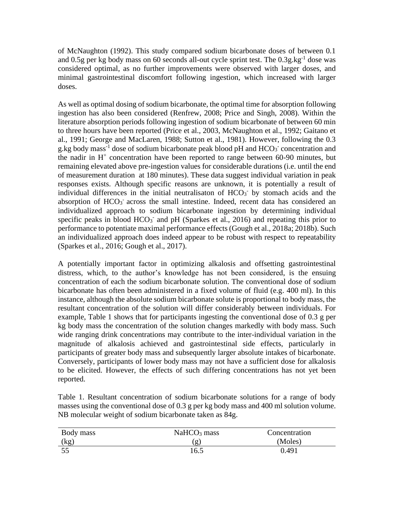of McNaughton (1992). This study compared sodium bicarbonate doses of between 0.1 and 0.5g per kg body mass on 60 seconds all-out cycle sprint test. The  $0.3g kg<sup>-1</sup>$  dose was considered optimal, as no further improvements were observed with larger doses, and minimal gastrointestinal discomfort following ingestion, which increased with larger doses.

As well as optimal dosing of sodium bicarbonate, the optimal time for absorption following ingestion has also been considered (Renfrew, 2008; Price and Singh, 2008). Within the literature absorption periods following ingestion of sodium bicarbonate of between 60 min to three hours have been reported (Price et al., 2003, McNaughton et al., 1992; Gaitano et al., 1991; George and MacLaren, 1988; Sutton et al., 1981). However, following the 0.3 g.kg body mass<sup>-1</sup> dose of sodium bicarbonate peak blood pH and  $HCO<sub>3</sub>$  concentration and the nadir in  $H^+$  concentration have been reported to range between 60-90 minutes, but remaining elevated above pre-ingestion values for considerable durations (i.e. until the end of measurement duration at 180 minutes). These data suggest individual variation in peak responses exists. Although specific reasons are unknown, it is potentially a result of individual differences in the initial neutralisaton of  $HCO<sub>3</sub>$  by stomach acids and the absorption of  $HCO<sub>3</sub>$  across the small intestine. Indeed, recent data has considered an individualized approach to sodium bicarbonate ingestion by determining individual specific peaks in blood  $HCO<sub>3</sub>$  and pH (Sparkes et al., 2016) and repeating this prior to performance to potentiate maximal performance effects (Gough et al., 2018a; 2018b). Such an individualized approach does indeed appear to be robust with respect to repeatability (Sparkes et al., 2016; Gough et al., 2017).

A potentially important factor in optimizing alkalosis and offsetting gastrointestinal distress, which, to the author's knowledge has not been considered, is the ensuing concentration of each the sodium bicarbonate solution. The conventional dose of sodium bicarbonate has often been administered in a fixed volume of fluid (e.g. 400 ml). In this instance, although the absolute sodium bicarbonate solute is proportional to body mass, the resultant concentration of the solution will differ considerably between individuals. For example, Table 1 shows that for participants ingesting the conventional dose of 0.3 g per kg body mass the concentration of the solution changes markedly with body mass. Such wide ranging drink concentrations may contribute to the inter-individual variation in the magnitude of alkalosis achieved and gastrointestinal side effects, particularly in participants of greater body mass and subsequently larger absolute intakes of bicarbonate. Conversely, participants of lower body mass may not have a sufficient dose for alkalosis to be elicited. However, the effects of such differing concentrations has not yet been reported.

Table 1. Resultant concentration of sodium bicarbonate solutions for a range of body masses using the conventional dose of 0.3 g per kg body mass and 400 ml solution volume. NB molecular weight of sodium bicarbonate taken as 84g.

| Body mass | $NaHCO3$ mass | Concentration |
|-----------|---------------|---------------|
| (kg)      | g             | (Moles)       |
|           | 16.5          | 0.491         |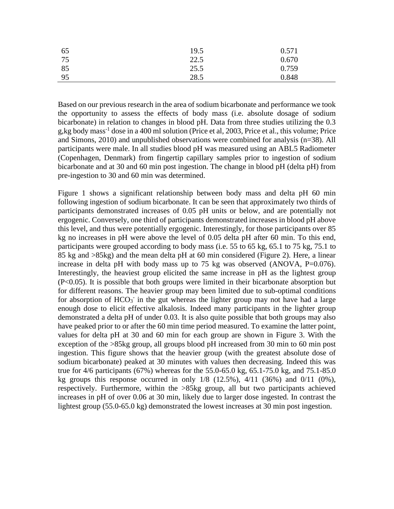| 65 | 19.5 | 0.571 |
|----|------|-------|
| 75 | 22.5 | 0.670 |
| 85 | 25.5 | 0.759 |
| 95 | 28.5 | 0.848 |

Based on our previous research in the area of sodium bicarbonate and performance we took the opportunity to assess the effects of body mass (i.e. absolute dosage of sodium bicarbonate) in relation to changes in blood pH. Data from three studies utilizing the 0.3 g,kg body mass<sup>-1</sup> dose in a 400 ml solution (Price et al, 2003, Price et al., this volume; Price and Simons, 2010) and unpublished observations were combined for analysis (n=38). All participants were male. In all studies blood pH was measured using an ABL5 Radiometer (Copenhagen, Denmark) from fingertip capillary samples prior to ingestion of sodium bicarbonate and at 30 and 60 min post ingestion. The change in blood pH (delta pH) from pre-ingestion to 30 and 60 min was determined.

Figure 1 shows a significant relationship between body mass and delta pH 60 min following ingestion of sodium bicarbonate. It can be seen that approximately two thirds of participants demonstrated increases of 0.05 pH units or below, and are potentially not ergogenic. Conversely, one third of participants demonstrated increases in blood pH above this level, and thus were potentially ergogenic. Interestingly, for those participants over 85 kg no increases in pH were above the level of 0.05 delta pH after 60 min. To this end, participants were grouped according to body mass (i.e. 55 to 65 kg, 65.1 to 75 kg, 75.1 to 85 kg and >85kg) and the mean delta pH at 60 min considered (Figure 2). Here, a linear increase in delta pH with body mass up to 75 kg was observed (ANOVA, P=0.076). Interestingly, the heaviest group elicited the same increase in pH as the lightest group (P<0.05). It is possible that both groups were limited in their bicarbonate absorption but for different reasons. The heavier group may been limited due to sub-optimal conditions for absorption of  $HCO<sub>3</sub>$  in the gut whereas the lighter group may not have had a large enough dose to elicit effective alkalosis. Indeed many participants in the lighter group demonstrated a delta pH of under 0.03. It is also quite possible that both groups may also have peaked prior to or after the 60 min time period measured. To examine the latter point, values for delta pH at 30 and 60 min for each group are shown in Figure 3. With the exception of the >85kg group, all groups blood pH increased from 30 min to 60 min post ingestion. This figure shows that the heavier group (with the greatest absolute dose of sodium bicarbonate) peaked at 30 minutes with values then decreasing. Indeed this was true for 4/6 participants (67%) whereas for the 55.0-65.0 kg, 65.1-75.0 kg, and 75.1-85.0 kg groups this response occurred in only  $1/8$  (12.5%),  $4/11$  (36%) and  $0/11$  (0%), respectively. Furthermore, within the >85kg group, all but two participants achieved increases in pH of over 0.06 at 30 min, likely due to larger dose ingested. In contrast the lightest group (55.0-65.0 kg) demonstrated the lowest increases at 30 min post ingestion.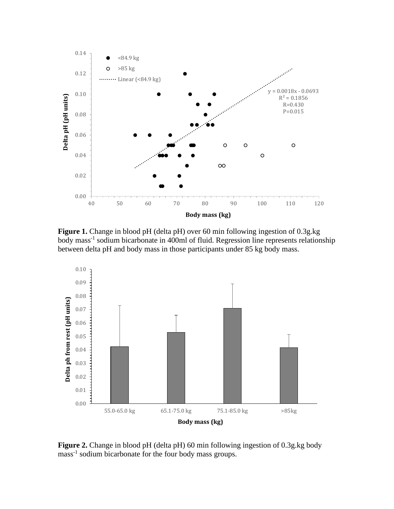

**Figure 1.** Change in blood pH (delta pH) over 60 min following ingestion of 0.3g.kg body mass<sup>-1</sup> sodium bicarbonate in 400ml of fluid. Regression line represents relationship between delta pH and body mass in those participants under 85 kg body mass.



**Figure 2.** Change in blood pH (delta pH) 60 min following ingestion of 0.3g.kg body mass<sup>-1</sup> sodium bicarbonate for the four body mass groups.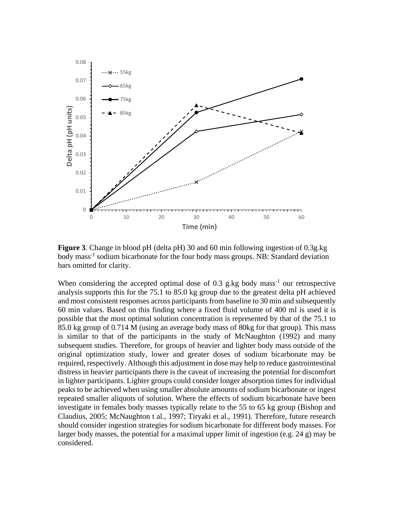

**Figure 3**. Change in blood pH (delta pH) 30 and 60 min following ingestion of 0.3g.kg body mass<sup>-1</sup> sodium bicarbonate for the four body mass groups. NB: Standard deviation bars omitted for clarity.

When considering the accepted optimal dose of  $0.3$  g.kg body mass<sup>-1</sup> our retrospective analysis supports this for the 75.1 to 85.0 kg group due to the greatest delta pH achieved and most consistent responses across participants from baseline to 30 min and subsequently 60 min values. Based on this finding where a fixed fluid volume of 400 ml is used it is possible that the most optimal solution concentration is represented by that of the 75.1 to 85.0 kg group of 0.714 M (using an average body mass of 80kg for that group). This mass is similar to that of the participants in the study of McNaughton (1992) and many subsequent studies. Therefore, for groups of heavier and lighter body mass outside of the original optimization study, lower and greater doses of sodium bicarbonate may be required, respectively. Although this adjustment in dose may help to reduce gastrointestinal distress in heavier participants there is the caveat of increasing the potential for discomfort in lighter participants. Lighter groups could consider longer absorption times for individual peaks to be achieved when using smaller absolute amounts of sodium bicarbonate or ingest repeated smaller aliquots of solution. Where the effects of sodium bicarbonate have been investigate in females body masses typically relate to the 55 to 65 kg group (Bishop and Claudius, 2005; McNaughton t al., 1997; Tiryaki et al., 1991). Therefore, future research should consider ingestion strategies for sodium bicarbonate for different body masses. For larger body masses, the potential for a maximal upper limit of ingestion (e.g. 24 g) may be considered.